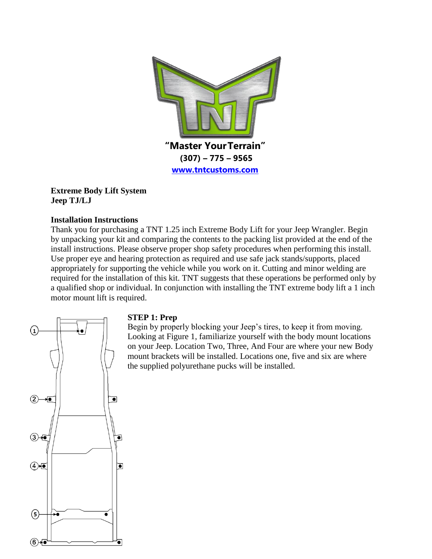

### **Extreme Body Lift System Jeep TJ/LJ**

### **Installation Instructions**

Thank you for purchasing a TNT 1.25 inch Extreme Body Lift for your Jeep Wrangler. Begin by unpacking your kit and comparing the contents to the packing list provided at the end of the install instructions. Please observe proper shop safety procedures when performing this install. Use proper eye and hearing protection as required and use safe jack stands/supports, placed appropriately for supporting the vehicle while you work on it. Cutting and minor welding are required for the installation of this kit. TNT suggests that these operations be performed only by a qualified shop or individual. In conjunction with installing the TNT extreme body lift a 1 inch motor mount lift is required.



### **STEP 1: Prep**

Begin by properly blocking your Jeep's tires, to keep it from moving. Looking at Figure 1, familiarize yourself with the body mount locations on your Jeep. Location Two, Three, And Four are where your new Body mount brackets will be installed. Locations one, five and six are where the supplied polyurethane pucks will be installed.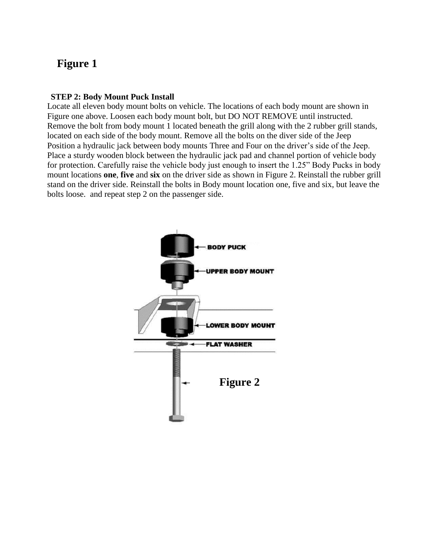# **Figure 1**

### **STEP 2: Body Mount Puck Install**

Locate all eleven body mount bolts on vehicle. The locations of each body mount are shown in Figure one above. Loosen each body mount bolt, but DO NOT REMOVE until instructed. Remove the bolt from body mount 1 located beneath the grill along with the 2 rubber grill stands, located on each side of the body mount. Remove all the bolts on the diver side of the Jeep Position a hydraulic jack between body mounts Three and Four on the driver's side of the Jeep. Place a sturdy wooden block between the hydraulic jack pad and channel portion of vehicle body for protection. Carefully raise the vehicle body just enough to insert the 1.25" Body Pucks in body mount locations **one**, **five** and **six** on the driver side as shown in Figure 2. Reinstall the rubber grill stand on the driver side. Reinstall the bolts in Body mount location one, five and six, but leave the bolts loose. and repeat step 2 on the passenger side.

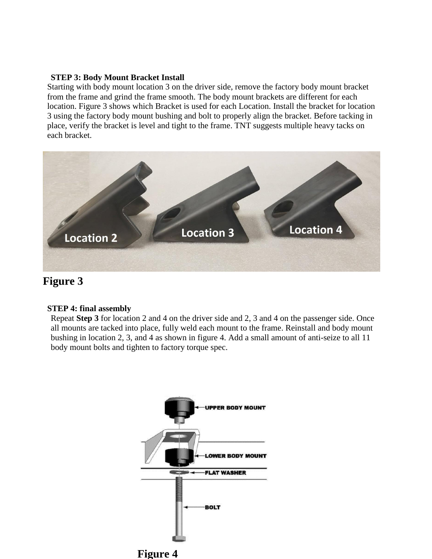#### **STEP 3: Body Mount Bracket Install**

Starting with body mount location 3 on the driver side, remove the factory body mount bracket from the frame and grind the frame smooth. The body mount brackets are different for each location. Figure 3 shows which Bracket is used for each Location. Install the bracket for location 3 using the factory body mount bushing and bolt to properly align the bracket. Before tacking in place, verify the bracket is level and tight to the frame. TNT suggests multiple heavy tacks on each bracket.



# **Figure 3**

#### **STEP 4: final assembly**

Repeat **Step 3** for location 2 and 4 on the driver side and 2, 3 and 4 on the passenger side. Once all mounts are tacked into place, fully weld each mount to the frame. Reinstall and body mount bushing in location 2, 3, and 4 as shown in figure 4. Add a small amount of anti-seize to all 11 body mount bolts and tighten to factory torque spec.



**Figure 4**